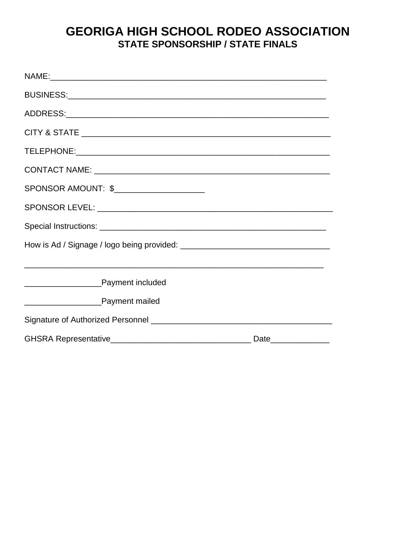## **GEORIGA HIGH SCHOOL RODEO ASSOCIATION STATE SPONSORSHIP / STATE FINALS**

| SPONSOR AMOUNT: \$                                                                                                   |  |
|----------------------------------------------------------------------------------------------------------------------|--|
|                                                                                                                      |  |
|                                                                                                                      |  |
|                                                                                                                      |  |
| <u> 1989 - Andrea Santa Alemania, amerikana amerikana amerikana amerikana amerikana amerikana amerikana amerikan</u> |  |
| <b>EXAMPLE Payment included</b>                                                                                      |  |
|                                                                                                                      |  |
|                                                                                                                      |  |
|                                                                                                                      |  |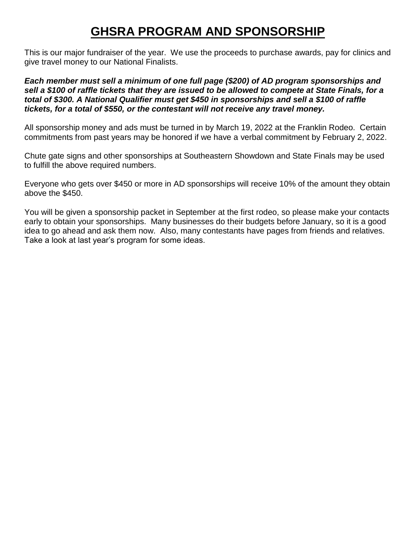# **GHSRA PROGRAM AND SPONSORSHIP**

This is our major fundraiser of the year. We use the proceeds to purchase awards, pay for clinics and give travel money to our National Finalists.

*Each member must sell a minimum of one full page (\$200) of AD program sponsorships and sell a \$100 of raffle tickets that they are issued to be allowed to compete at State Finals, for a total of \$300. A National Qualifier must get \$450 in sponsorships and sell a \$100 of raffle tickets, for a total of \$550, or the contestant will not receive any travel money.*

All sponsorship money and ads must be turned in by March 19, 2022 at the Franklin Rodeo. Certain commitments from past years may be honored if we have a verbal commitment by February 2, 2022.

Chute gate signs and other sponsorships at Southeastern Showdown and State Finals may be used to fulfill the above required numbers.

Everyone who gets over \$450 or more in AD sponsorships will receive 10% of the amount they obtain above the \$450.

You will be given a sponsorship packet in September at the first rodeo, so please make your contacts early to obtain your sponsorships. Many businesses do their budgets before January, so it is a good idea to go ahead and ask them now. Also, many contestants have pages from friends and relatives. Take a look at last year's program for some ideas.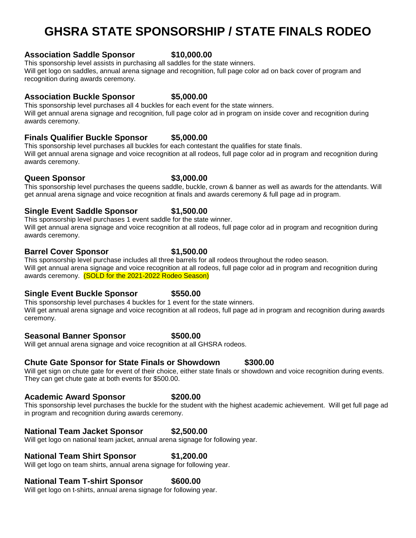# **GHSRA STATE SPONSORSHIP / STATE FINALS RODEO**

#### **Association Saddle Sponsor \$10,000.00**

This sponsorship level assists in purchasing all saddles for the state winners. Will get logo on saddles, annual arena signage and recognition, full page color ad on back cover of program and recognition during awards ceremony.

### **Association Buckle Sponsor \$5,000.00**

This sponsorship level purchases all 4 buckles for each event for the state winners. Will get annual arena signage and recognition, full page color ad in program on inside cover and recognition during awards ceremony.

### **Finals Qualifier Buckle Sponsor \$5,000.00**

This sponsorship level purchases all buckles for each contestant the qualifies for state finals. Will get annual arena signage and voice recognition at all rodeos, full page color ad in program and recognition during awards ceremony.

### **Queen Sponsor 63,000.00**

#### This sponsorship level purchases the queens saddle, buckle, crown & banner as well as awards for the attendants. Will get annual arena signage and voice recognition at finals and awards ceremony & full page ad in program.

### **Single Event Saddle Sponsor \$1,500.00**

This sponsorship level purchases 1 event saddle for the state winner. Will get annual arena signage and voice recognition at all rodeos, full page color ad in program and recognition during awards ceremony.

### **Barrel Cover Sponsor 51,500.00**

This sponsorship level purchase includes all three barrels for all rodeos throughout the rodeo season. Will get annual arena signage and voice recognition at all rodeos, full page color ad in program and recognition during awards ceremony. (SOLD for the 2021-2022 Rodeo Season)

### **Single Event Buckle Sponsor \$550.00**

This sponsorship level purchases 4 buckles for 1 event for the state winners. Will get annual arena signage and voice recognition at all rodeos, full page ad in program and recognition during awards ceremony.

### **Seasonal Banner Sponsor \$500.00**

Will get annual arena signage and voice recognition at all GHSRA rodeos.

### **Chute Gate Sponsor for State Finals or Showdown \$300.00**

Will get sign on chute gate for event of their choice, either state finals or showdown and voice recognition during events. They can get chute gate at both events for \$500.00.

### **Academic Award Sponsor \$200.00**

This sponsorship level purchases the buckle for the student with the highest academic achievement. Will get full page ad in program and recognition during awards ceremony.

### **National Team Jacket Sponsor \$2,500.00**

Will get logo on national team jacket, annual arena signage for following year.

### **National Team Shirt Sponsor \$1,200.00**

Will get logo on team shirts, annual arena signage for following year.

### **National Team T-shirt Sponsor \$600.00**

Will get logo on t-shirts, annual arena signage for following year.